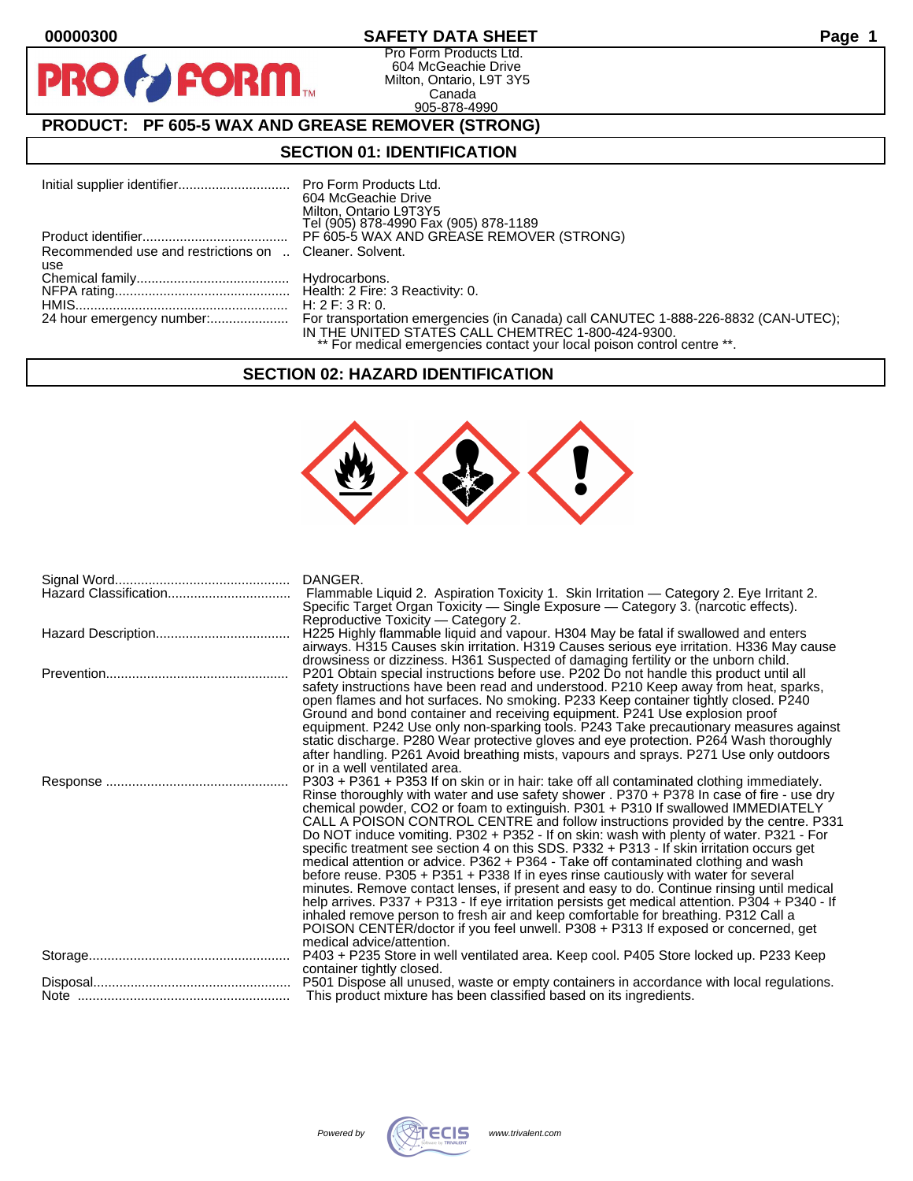$\mathbf O$ 

PR

## **00000300 SAFETY DATA SHEET Page 1**

Pro Form Products Ltd. 604 McGeachie Drive Milton, Ontario, L9T 3Y5 Canada 905-878-4990

# **PRODUCT: PF 605-5 WAX AND GREASE REMOVER (STRONG)**

**FORM.** 

### **SECTION 01: IDENTIFICATION**

|                                                        | 604 McGeachie Drive<br>Milton, Ontario L9T3Y5<br>Tel (905) 878-4990 Fax (905) 878-1189                                        |
|--------------------------------------------------------|-------------------------------------------------------------------------------------------------------------------------------|
|                                                        | PF 605-5 WAX AND GREASE REMOVER (STRONG)                                                                                      |
| Recommended use and restrictions on  Cleaner, Solvent. |                                                                                                                               |
| use                                                    |                                                                                                                               |
|                                                        |                                                                                                                               |
|                                                        |                                                                                                                               |
|                                                        |                                                                                                                               |
|                                                        | IN THE UNITED STATES CALL CHEMTREC 1-800-424-9300.<br>** For medical emergencies contact your local poison control centre **. |

### **SECTION 02: HAZARD IDENTIFICATION**



|                       | DANGER.                                                                                                                                                                         |
|-----------------------|---------------------------------------------------------------------------------------------------------------------------------------------------------------------------------|
| Hazard Classification | Flammable Liquid 2. Aspiration Toxicity 1. Skin Irritation — Category 2. Eye Irritant 2.                                                                                        |
|                       | Specific Target Organ Toxicity — Single Exposure — Category 3. (narcotic effects).                                                                                              |
|                       | Reproductive Toxicity — Category 2.                                                                                                                                             |
|                       | H225 Highly flammable liquid and vapour. H304 May be fatal if swallowed and enters                                                                                              |
|                       | airways. H315 Causes skin irritation. H319 Causes serious eye irritation. H336 May cause                                                                                        |
|                       | drowsiness or dizziness. H361 Suspected of damaging fertility or the unborn child.                                                                                              |
|                       | P201 Obtain special instructions before use. P202 Do not handle this product until all                                                                                          |
|                       | safety instructions have been read and understood. P210 Keep away from heat, sparks,                                                                                            |
|                       | open flames and hot surfaces. No smoking. P233 Keep container tightly closed. P240                                                                                              |
|                       | Ground and bond container and receiving equipment. P241 Use explosion proof                                                                                                     |
|                       | equipment. P242 Use only non-sparking tools. P243 Take precautionary measures against                                                                                           |
|                       | static discharge. P280 Wear protective gloves and eye protection. P264 Wash thoroughly                                                                                          |
|                       | after handling. P261 Avoid breathing mists, vapours and sprays. P271 Use only outdoors                                                                                          |
|                       | or in a well ventilated area.                                                                                                                                                   |
|                       | P303 + P361 + P353 If on skin or in hair: take off all contaminated clothing immediately.                                                                                       |
|                       | Rinse thoroughly with water and use safety shower . P370 + P378 In case of fire - use dry                                                                                       |
|                       | chemical powder, CO2 or foam to extinguish. P301 + P310 If swallowed IMMEDIATELY<br>CALL A POISON CONTROL CENTRE and follow instructions provided by the centre. P331           |
|                       | Do NOT induce vomiting. P302 + P352 - If on skin: wash with plenty of water. P321 - For                                                                                         |
|                       |                                                                                                                                                                                 |
|                       | specific treatment see section 4 on this SDS. P332 + P313 - If skin irritation occurs get<br>medical attention or advice. P362 + P364 - Take off contaminated clothing and wash |
|                       | before reuse. P305 + P351 + P338 If in eyes rinse cautiously with water for several                                                                                             |
|                       | minutes. Remove contact lenses, if present and easy to do. Continue rinsing until medical                                                                                       |
|                       | help arrives. P337 + P313 - If eye irritation persists get medical attention. P304 + P340 - If                                                                                  |
|                       | inhaled remove person to fresh air and keep comfortable for breathing. P312 Call a                                                                                              |
|                       | POISON CENTER/doctor if you feel unwell. P308 + P313 If exposed or concerned, get                                                                                               |
|                       | medical advice/attention.                                                                                                                                                       |
|                       | P403 + P235 Store in well ventilated area. Keep cool. P405 Store locked up. P233 Keep                                                                                           |
|                       | container tightly closed.                                                                                                                                                       |
|                       | P501 Dispose all unused, waste or empty containers in accordance with local regulations.                                                                                        |
|                       | This product mixture has been classified based on its ingredients.                                                                                                              |

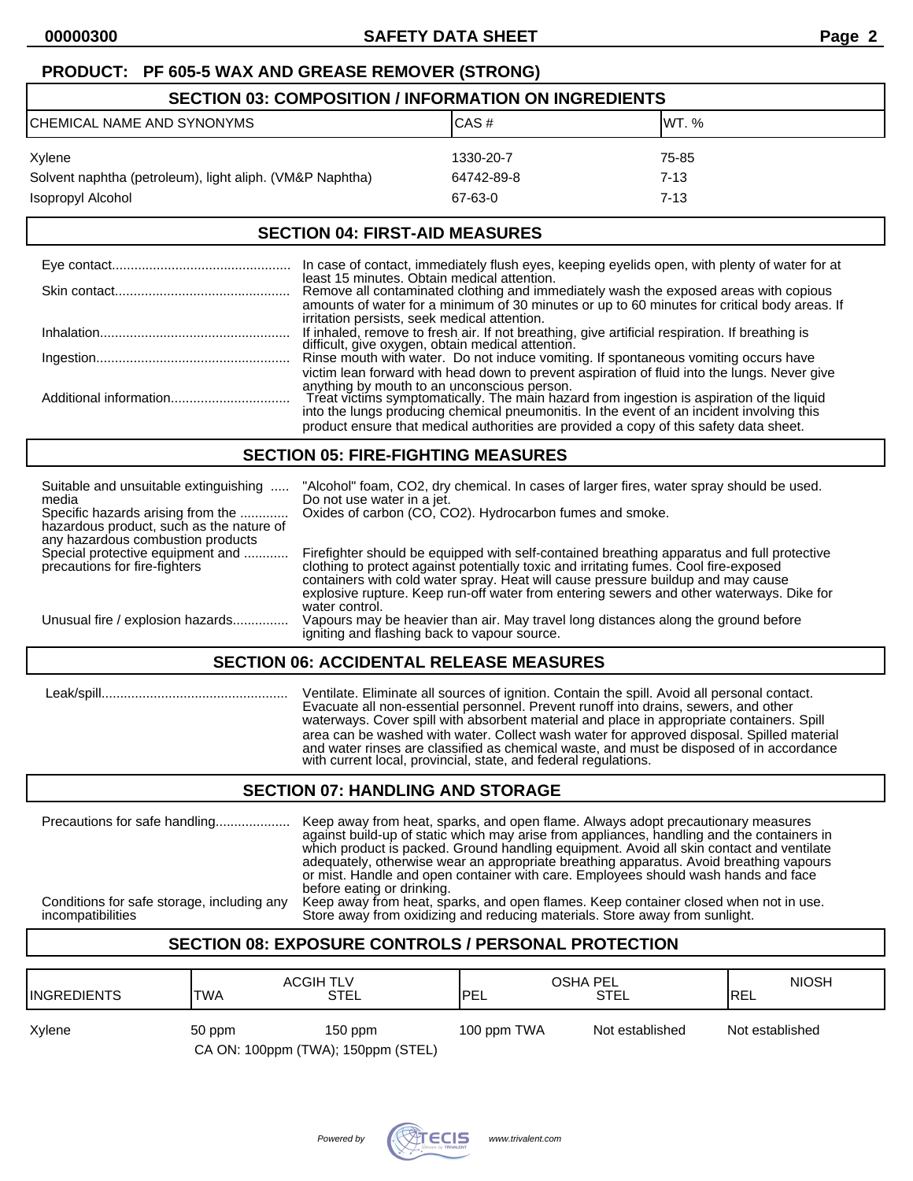### **PRODUCT: PF 605-5 WAX AND GREASE REMOVER (STRONG)**

| <b>SECTION 03: COMPOSITION / INFORMATION ON INGREDIENTS</b> |            |          |  |
|-------------------------------------------------------------|------------|----------|--|
| CHEMICAL NAME AND SYNONYMS                                  | CAS#       | IWT. %   |  |
| Xylene                                                      | 1330-20-7  | 75-85    |  |
| Solvent naphtha (petroleum), light aliph. (VM&P Naphtha)    | 64742-89-8 | 7-13     |  |
| Isopropyl Alcohol                                           | 67-63-0    | $7 - 13$ |  |

### **SECTION 04: FIRST-AID MEASURES**

| In case of contact, immediately flush eyes, keeping eyelids open, with plenty of water for at                                                                                                                                                                                                                                                                                                                                   |
|---------------------------------------------------------------------------------------------------------------------------------------------------------------------------------------------------------------------------------------------------------------------------------------------------------------------------------------------------------------------------------------------------------------------------------|
| least 15 minutes. Obtain medical attention.<br>Remove all contaminated clothing and immediately wash the exposed areas with copious<br>amounts of water for a minimum of 30 minutes or up to 60 minutes for critical body areas. If                                                                                                                                                                                             |
| irritation persists, seek medical attention.<br>If inhaled, remove to fresh air. If not breathing, give artificial respiration. If breathing is<br>difficult, give oxygen, obtain medical attention.                                                                                                                                                                                                                            |
| Rinse mouth with water. Do not induce vomiting. If spontaneous vomiting occurs have                                                                                                                                                                                                                                                                                                                                             |
| victim lean forward with head down to prevent aspiration of fluid into the lungs. Never give<br>anything by mouth to an unconscious person.<br>Treat victims symptomatically. The main hazard from ingestion is aspiration of the liquid<br>into the lungs producing chemical pneumonitis. In the event of an incident involving this<br>product ensure that medical authorities are provided a copy of this safety data sheet. |

### **SECTION 05: FIRE-FIGHTING MEASURES**

| Suitable and unsuitable extinguishing<br>media<br>Specific hazards arising from the<br>hazardous product, such as the nature of<br>any hazardous combustion products | "Alcohol" foam, CO2, dry chemical. In cases of larger fires, water spray should be used.<br>Do not use water in a jet.<br>Oxides of carbon (CO, CO2). Hydrocarbon fumes and smoke.                                                                                                                                                                                                    |  |
|----------------------------------------------------------------------------------------------------------------------------------------------------------------------|---------------------------------------------------------------------------------------------------------------------------------------------------------------------------------------------------------------------------------------------------------------------------------------------------------------------------------------------------------------------------------------|--|
| Special protective equipment and<br>precautions for fire-fighters                                                                                                    | Firefighter should be equipped with self-contained breathing apparatus and full protective<br>clothing to protect against potentially toxic and irritating fumes. Cool fire-exposed<br>containers with cold water spray. Heat will cause pressure buildup and may cause<br>explosive rupture. Keep run-off water from entering sewers and other waterways. Dike for<br>water control. |  |
| Unusual fire / explosion hazards                                                                                                                                     | Vapours may be heavier than air. May travel long distances along the ground before<br>igniting and flashing back to vapour source.                                                                                                                                                                                                                                                    |  |
| <b>SECTION 06: ACCIDENTAL RELEASE MEASURES</b>                                                                                                                       |                                                                                                                                                                                                                                                                                                                                                                                       |  |

 Leak/spill.................................................. Ventilate. Eliminate all sources of ignition. Contain the spill. Avoid all personal contact. Evacuate all non-essential personnel. Prevent runoff into drains, sewers, and other waterways. Cover spill with absorbent material and place in appropriate containers. Spill area can be washed with water. Collect wash water for approved disposal. Spilled material and water rinses are classified as chemical waste, and must be disposed of in accordance with current local, provincial, state, and federal regulations.

### **SECTION 07: HANDLING AND STORAGE**

| Precautions for safe handling<br>Conditions for safe storage, including any<br>incompatibilities | Keep away from heat, sparks, and open flame. Always adopt precautionary measures<br>against build-up of static which may arise from appliances, handling and the containers in<br>which product is packed. Ground handling equipment. Avoid all skin contact and ventilate<br>adequately, otherwise wear an appropriate breathing apparatus. Avoid breathing vapours<br>or mist. Handle and open container with care. Employees should wash hands and face<br>before eating or drinking.<br>Keep away from heat, sparks, and open flames. Keep container closed when not in use.<br>Store away from oxidizing and reducing materials. Store away from sunlight. |
|--------------------------------------------------------------------------------------------------|-----------------------------------------------------------------------------------------------------------------------------------------------------------------------------------------------------------------------------------------------------------------------------------------------------------------------------------------------------------------------------------------------------------------------------------------------------------------------------------------------------------------------------------------------------------------------------------------------------------------------------------------------------------------|
|                                                                                                  |                                                                                                                                                                                                                                                                                                                                                                                                                                                                                                                                                                                                                                                                 |

# **SECTION 08: EXPOSURE CONTROLS / PERSONAL PROTECTION**

| <b>IINGREDIENTS</b> | <b>ACGIH TLV</b><br><b>TWA</b>               | STEL      | OSHA PEL<br><b>IPEL</b> | STEL            | <b>NIOSH</b><br><b>IREL</b> |
|---------------------|----------------------------------------------|-----------|-------------------------|-----------------|-----------------------------|
| Xylene              | 50 ppm<br>CA ON: 100ppm (TWA); 150ppm (STEL) | $150$ ppm | 100 ppm TWA             | Not established | Not established             |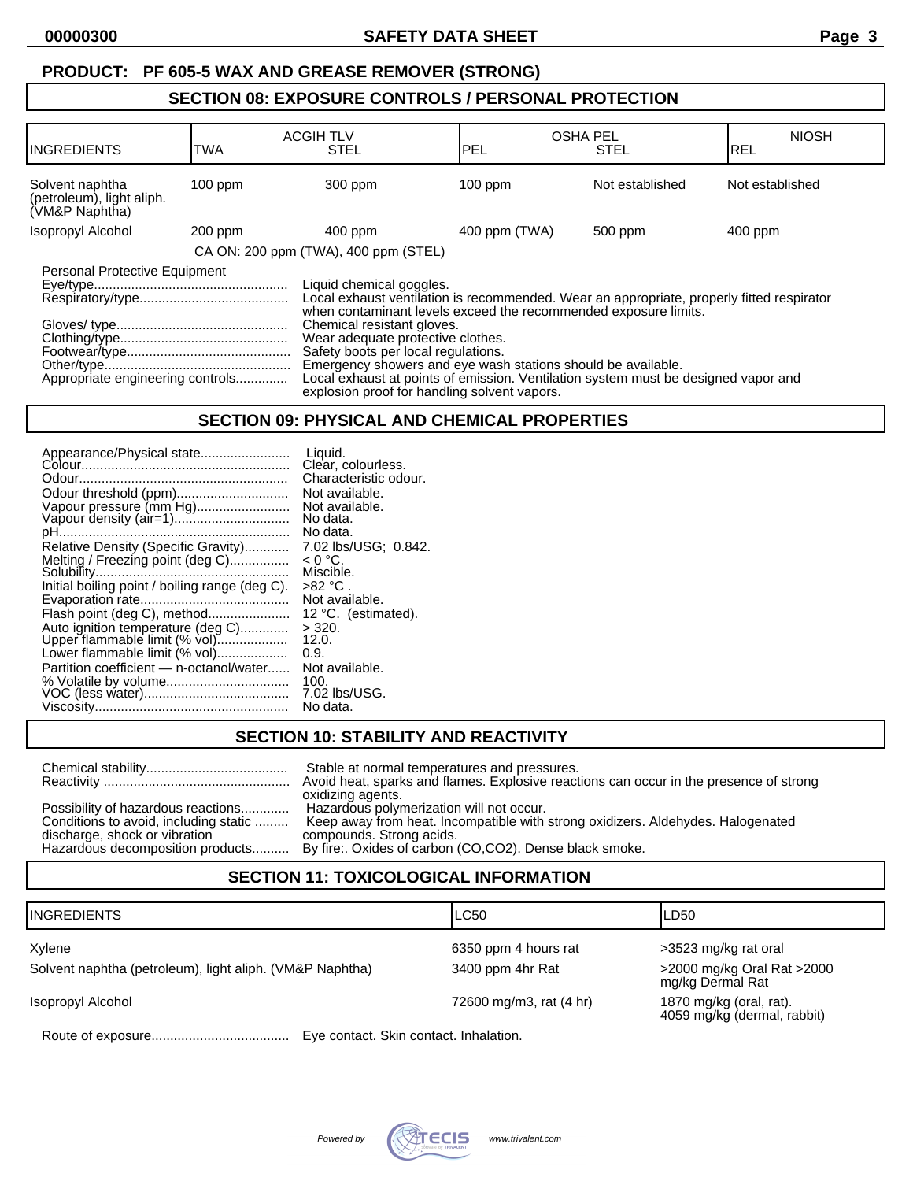# **SECTION 08: EXPOSURE CONTROLS / PERSONAL PROTECTION**

| <b>INGREDIENTS</b>                                                                                                                                                                                                                                                                                                                                                                                                                                                                                                                                                            | TWA       | <b>ACGIH TLV</b><br><b>STEL</b>      | <b>OSHA PEL</b><br>IPEL | <b>STEL</b>     | <b>NIOSH</b><br>IREL |
|-------------------------------------------------------------------------------------------------------------------------------------------------------------------------------------------------------------------------------------------------------------------------------------------------------------------------------------------------------------------------------------------------------------------------------------------------------------------------------------------------------------------------------------------------------------------------------|-----------|--------------------------------------|-------------------------|-----------------|----------------------|
| Solvent naphtha<br>(petroleum), light aliph.<br>(VM&P Naphtha)                                                                                                                                                                                                                                                                                                                                                                                                                                                                                                                | $100$ ppm | 300 ppm                              | $100$ ppm               | Not established | Not established      |
| <b>Isopropyl Alcohol</b>                                                                                                                                                                                                                                                                                                                                                                                                                                                                                                                                                      | $200$ ppm | $400$ ppm                            | 400 ppm (TWA)           | 500 ppm         | 400 ppm              |
|                                                                                                                                                                                                                                                                                                                                                                                                                                                                                                                                                                               |           | CA ON: 200 ppm (TWA), 400 ppm (STEL) |                         |                 |                      |
| Personal Protective Equipment<br>Liquid chemical goggles.<br>Local exhaust ventilation is recommended. Wear an appropriate, properly fitted respirator<br>when contaminant levels exceed the recommended exposure limits.<br>Chemical resistant gloves.<br>Wear adequate protective clothes.<br>Safety boots per local regulations.<br>Emergency showers and eye wash stations should be available.<br>Local exhaust at points of emission. Ventilation system must be designed vapor and<br>Appropriate engineering controls<br>explosion proof for handling solvent vapors. |           |                                      |                         |                 |                      |

### **SECTION 09: PHYSICAL AND CHEMICAL PROPERTIES**

| Appearance/Physical state<br>Odour threshold (ppm)<br>Vapour pressure (mm Hg)<br>Vapour density (air=1) | Liquid.<br>Clear, colourless.<br>Characteristic odour.<br>Not available.<br>Not available.<br>No data.<br>No data. |
|---------------------------------------------------------------------------------------------------------|--------------------------------------------------------------------------------------------------------------------|
| Relative Density (Specific Gravity)                                                                     | 7.02 lbs/USG; 0.842.                                                                                               |
| Melting / Freezing point (deg C)                                                                        | $< 0 °C$ .                                                                                                         |
|                                                                                                         | Miscible.                                                                                                          |
| Initial boiling point / boiling range (deg C).                                                          | >82 °C .                                                                                                           |
|                                                                                                         | Not available.                                                                                                     |
| Flash point (deg C), method                                                                             | 12 °C. (estimated).                                                                                                |
| Auto ignition temperature (deg C)                                                                       | $>$ 320.                                                                                                           |
| Upper flammable limit (% vol)                                                                           | 12.0.                                                                                                              |
| Lower flammable limit (% vol)                                                                           | 0.9.                                                                                                               |
| Partition coefficient - n-octanol/water                                                                 | Not available.                                                                                                     |
|                                                                                                         | 100.                                                                                                               |
|                                                                                                         | 7.02 lbs/USG.                                                                                                      |
|                                                                                                         | No data.                                                                                                           |

### **SECTION 10: STABILITY AND REACTIVITY**

|                                                                                                              | Stable at normal temperatures and pressures.<br>Avoid heat, sparks and flames. Explosive reactions can occur in the presence of strong<br>oxidizing agents.                                                                                        |
|--------------------------------------------------------------------------------------------------------------|----------------------------------------------------------------------------------------------------------------------------------------------------------------------------------------------------------------------------------------------------|
| Possibility of hazardous reactions<br>Conditions to avoid, including static<br>discharge, shock or vibration | Hazardous polymerization will not occur.<br>Keep away from heat. Incompatible with strong oxidizers. Aldehydes. Halogenated<br>compounds. Strong acids.<br>Hazardous decomposition products By fire: Oxides of carbon (CO,CO2). Dense black smoke. |

# **SECTION 11: TOXICOLOGICAL INFORMATION**

| <b>INGREDIENTS</b>                                       | <b>LC50</b>                          | ILD50                                                  |
|----------------------------------------------------------|--------------------------------------|--------------------------------------------------------|
| Xylene                                                   | 6350 ppm 4 hours rat                 | >3523 mg/kg rat oral                                   |
| Solvent naphtha (petroleum), light aliph. (VM&P Naphtha) | 3400 ppm 4hr Rat                     | >2000 mg/kg Oral Rat >2000<br>mg/kg Dermal Rat         |
| Isopropyl Alcohol                                        | 72600 mg/m3, rat (4 hr)              | 1870 mg/kg (oral, rat).<br>4059 mg/kg (dermal, rabbit) |
| Doute of overgours                                       | Eug contact Cluin contact Inholation |                                                        |

Route of exposure..................................... Eye contact. Skin contact. Inhalation.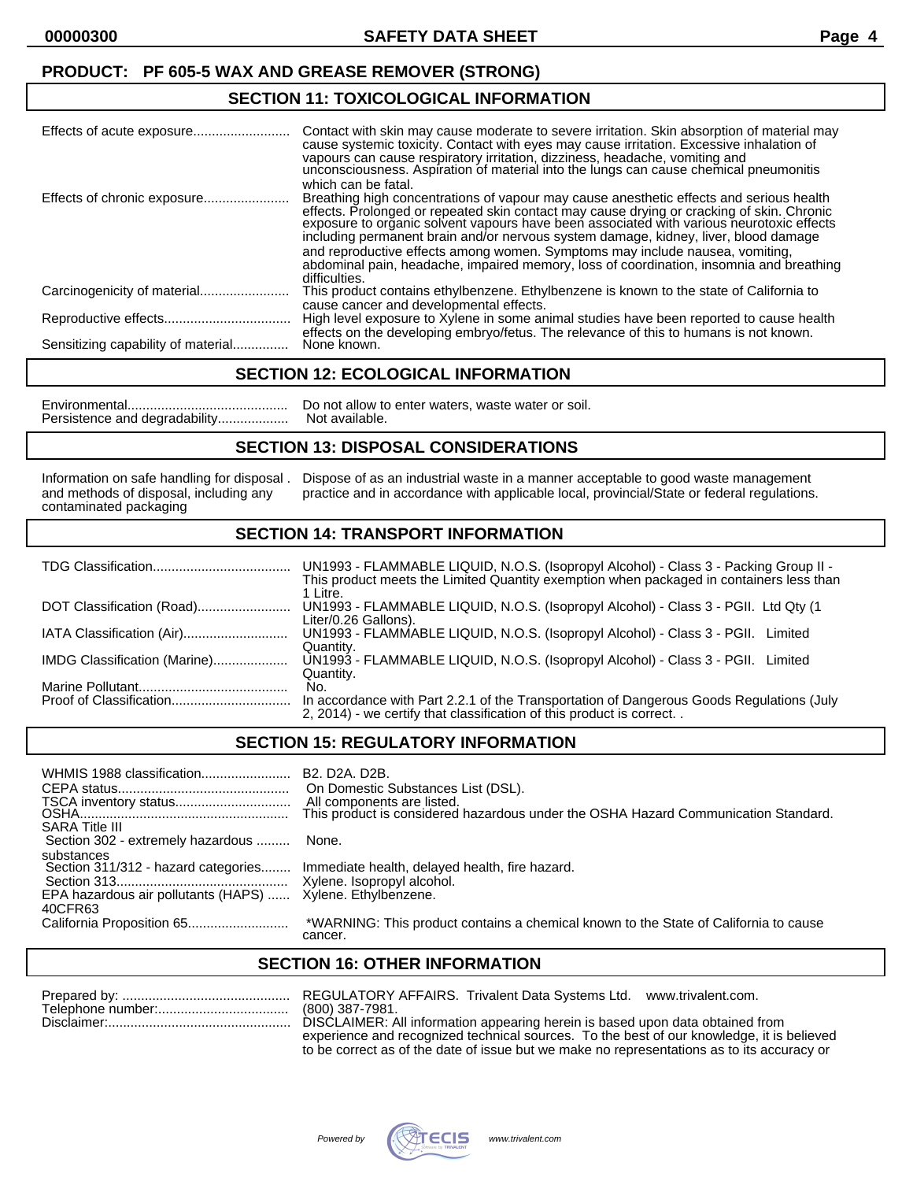## **PRODUCT: PF 605-5 WAX AND GREASE REMOVER (STRONG)**

### **SECTION 11: TOXICOLOGICAL INFORMATION**

|                                    | Contact with skin may cause moderate to severe irritation. Skin absorption of material may<br>cause systemic toxicity. Contact with eyes may cause irritation. Excessive inhalation of<br>vapours can cause respiratory irritation, dizziness, headache, vomiting and<br>unconsciousness. Aspiration of material into the lungs can cause chemical pneumonitis<br>which can be fatal. |
|------------------------------------|---------------------------------------------------------------------------------------------------------------------------------------------------------------------------------------------------------------------------------------------------------------------------------------------------------------------------------------------------------------------------------------|
|                                    | Breathing high concentrations of vapour may cause anesthetic effects and serious health<br>effects. Prolonged or repeated skin contact may cause drying or cracking of skin. Chronic<br>exposure to organic solvent vapours have been associated with various neurotoxic effects<br>including permanent brain and/or nervous system damage, kidney, liver, blood damage               |
|                                    | and reproductive effects among women. Symptoms may include nausea, vomiting,<br>abdominal pain, headache, impaired memory, loss of coordination, insomnia and breathing<br>difficulties.                                                                                                                                                                                              |
|                                    | This product contains ethylbenzene. Ethylbenzene is known to the state of California to                                                                                                                                                                                                                                                                                               |
|                                    | cause cancer and developmental effects.<br>High level exposure to Xylene in some animal studies have been reported to cause health<br>effects on the developing embryo/fetus. The relevance of this to humans is not known.                                                                                                                                                           |
| Sensitizing capability of material | None known.                                                                                                                                                                                                                                                                                                                                                                           |

### **SECTION 12: ECOLOGICAL INFORMATION**

Environmental........................................... Do not allow to enter waters, waste water or soil. Persistence and degradability...................

### **SECTION 13: DISPOSAL CONSIDERATIONS**

contaminated packaging

Information on safe handling for disposal . Dispose of as an industrial waste in a manner acceptable to good waste management<br>and methods of disposal, including any practice and in accordance with applicable local, provinc practice and in accordance with applicable local, provincial/State or federal regulations.

### **SECTION 14: TRANSPORT INFORMATION**

|                              | UN1993 - FLAMMABLE LIQUID, N.O.S. (Isopropyl Alcohol) - Class 3 - Packing Group II -<br>This product meets the Limited Quantity exemption when packaged in containers less than<br>1 Litre. |
|------------------------------|---------------------------------------------------------------------------------------------------------------------------------------------------------------------------------------------|
| DOT Classification (Road)    | UN1993 - FLAMMABLE LIQUID, N.O.S. (Isopropyl Alcohol) - Class 3 - PGII. Ltd Qty (1<br>Liter/0.26 Gallons).                                                                                  |
| IATA Classification (Air)    | UN1993 - FLAMMABLE LIQUID, N.O.S. (Isopropyl Alcohol) - Class 3 - PGII.<br>Limited<br>Quantity.                                                                                             |
| IMDG Classification (Marine) | UN1993 - FLAMMABLE LIQUID, N.O.S. (Isopropyl Alcohol) - Class 3 - PGII. Limited<br>Quantity.                                                                                                |
|                              | No.<br>In accordance with Part 2.2.1 of the Transportation of Dangerous Goods Regulations (July<br>2, 2014) - we certify that classification of this product is correct                     |
|                              |                                                                                                                                                                                             |

### **SECTION 15: REGULATORY INFORMATION**

| WHMIS 1988 classification<br><b>SARA Title III</b>                                                  | B <sub>2</sub> . D <sub>2</sub> A. D <sub>2</sub> B.<br>On Domestic Substances List (DSL).<br>All components are listed.<br>This product is considered hazardous under the OSHA Hazard Communication Standard. |
|-----------------------------------------------------------------------------------------------------|----------------------------------------------------------------------------------------------------------------------------------------------------------------------------------------------------------------|
| Section 302 - extremely hazardous                                                                   | None.                                                                                                                                                                                                          |
| substances<br>Section 311/312 - hazard categories<br>EPA hazardous air pollutants (HAPS)<br>40CFR63 | Immediate health, delayed health, fire hazard.<br>Xylene. Ethylbenzene.                                                                                                                                        |
|                                                                                                     | *WARNING: This product contains a chemical known to the State of California to cause<br>cancer.                                                                                                                |

### **SECTION 16: OTHER INFORMATION**

| R |
|---|
|   |
|   |

EGULATORY AFFAIRS. Trivalent Data Systems Ltd. www.trivalent.com. 800) 387-7981. DISCLAIMER: All information appearing herein is based upon data obtained from experience and recognized technical sources. To the best of our knowledge, it is believed to be correct as of the date of issue but we make no representations as to its accuracy or